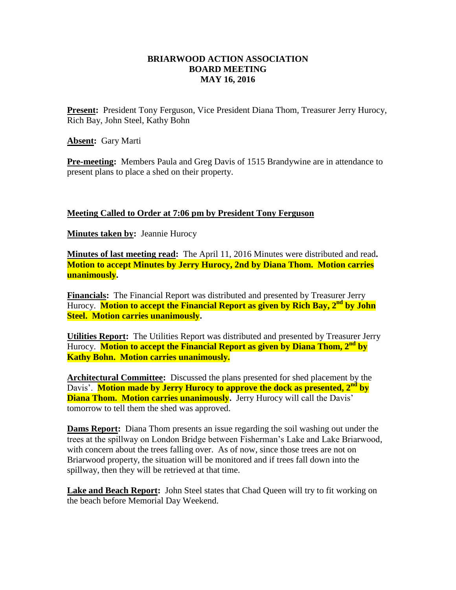## **BRIARWOOD ACTION ASSOCIATION BOARD MEETING MAY 16, 2016**

**Present:** President Tony Ferguson, Vice President Diana Thom, Treasurer Jerry Hurocy, Rich Bay, John Steel, Kathy Bohn

**Absent:** Gary Marti

**Pre-meeting:** Members Paula and Greg Davis of 1515 Brandywine are in attendance to present plans to place a shed on their property.

## **Meeting Called to Order at 7:06 pm by President Tony Ferguson**

**Minutes taken by:** Jeannie Hurocy

**Minutes of last meeting read:** The April 11, 2016 Minutes were distributed and read**. Motion to accept Minutes by Jerry Hurocy, 2nd by Diana Thom. Motion carries unanimously.**

**Financials:** The Financial Report was distributed and presented by Treasurer Jerry Hurocy. **Motion to accept the Financial Report as given by Rich Bay, 2nd by John Steel. Motion carries unanimously.**

**Utilities Report:** The Utilities Report was distributed and presented by Treasurer Jerry Hurocy. **Motion to accept the Financial Report as given by Diana Thom, 2nd by Kathy Bohn. Motion carries unanimously.**

**Architectural Committee:** Discussed the plans presented for shed placement by the Davis'. **Motion made by Jerry Hurocy to approve the dock as presented, 2nd by Diana Thom. Motion carries unanimously.** Jerry Hurocy will call the Davis' tomorrow to tell them the shed was approved.

**Dams Report:** Diana Thom presents an issue regarding the soil washing out under the trees at the spillway on London Bridge between Fisherman's Lake and Lake Briarwood, with concern about the trees falling over. As of now, since those trees are not on Briarwood property, the situation will be monitored and if trees fall down into the spillway, then they will be retrieved at that time.

**Lake and Beach Report:** John Steel states that Chad Queen will try to fit working on the beach before Memorial Day Weekend.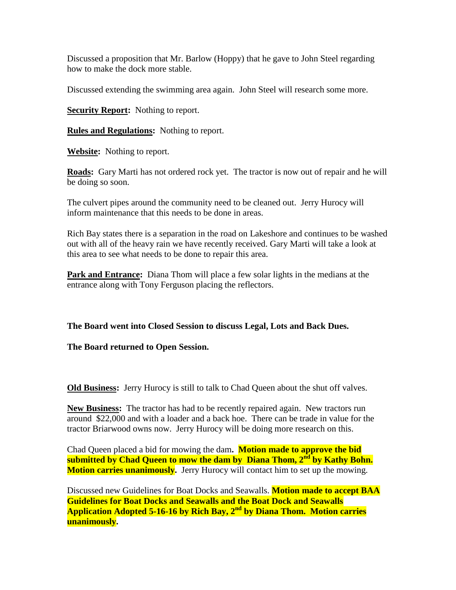Discussed a proposition that Mr. Barlow (Hoppy) that he gave to John Steel regarding how to make the dock more stable.

Discussed extending the swimming area again. John Steel will research some more.

**Security Report:** Nothing to report.

**Rules and Regulations:** Nothing to report.

**Website:** Nothing to report.

**Roads:** Gary Marti has not ordered rock yet. The tractor is now out of repair and he will be doing so soon.

The culvert pipes around the community need to be cleaned out. Jerry Hurocy will inform maintenance that this needs to be done in areas.

Rich Bay states there is a separation in the road on Lakeshore and continues to be washed out with all of the heavy rain we have recently received. Gary Marti will take a look at this area to see what needs to be done to repair this area.

**Park and Entrance:** Diana Thom will place a few solar lights in the medians at the entrance along with Tony Ferguson placing the reflectors.

**The Board went into Closed Session to discuss Legal, Lots and Back Dues.**

**The Board returned to Open Session.**

**Old Business:** Jerry Hurocy is still to talk to Chad Queen about the shut off valves.

**New Business:** The tractor has had to be recently repaired again. New tractors run around \$22,000 and with a loader and a back hoe. There can be trade in value for the tractor Briarwood owns now. Jerry Hurocy will be doing more research on this.

Chad Queen placed a bid for mowing the dam**. Motion made to approve the bid submitted by Chad Queen to mow the dam by Diana Thom, 2nd by Kathy Bohn. Motion carries unanimously.** Jerry Hurocy will contact him to set up the mowing.

Discussed new Guidelines for Boat Docks and Seawalls. **Motion made to accept BAA Guidelines for Boat Docks and Seawalls and the Boat Dock and Seawalls Application Adopted 5-16-16 by Rich Bay, 2nd by Diana Thom. Motion carries unanimously.**